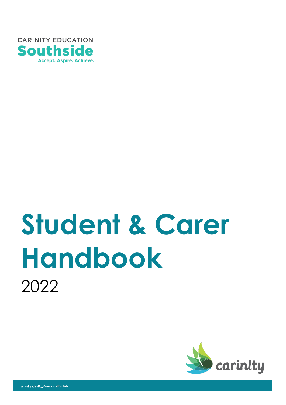

# **Student & Carer Handbook** 2022

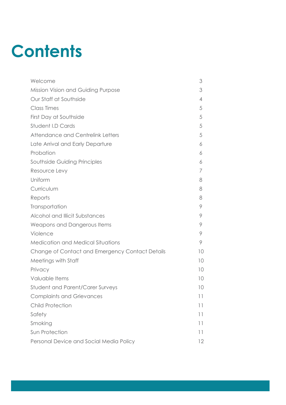## **Contents**

| Welcome                                         | 3              |
|-------------------------------------------------|----------------|
| Mission Vision and Guiding Purpose              | 3              |
| Our Staff at Southside                          | $\overline{4}$ |
| <b>Class Times</b>                              | 5              |
| First Day at Southside                          | 5              |
| Student I.D Cards                               | 5              |
| Attendance and Centrelink Letters               | 5              |
| Late Arrival and Early Departure                | 6              |
| Probation                                       | 6              |
| Southside Guiding Principles                    | 6              |
| Resource Levy                                   | 7              |
| Uniform                                         | 8              |
| Curriculum                                      | 8              |
| Reports                                         | 8              |
| Transportation                                  | 9              |
| Alcohol and Illicit Substances                  | 9              |
| Weapons and Dangerous Items                     | 9              |
| Violence                                        | 9              |
| <b>Medication and Medical Situations</b>        | 9              |
| Change of Contact and Emergency Contact Details | 10             |
| Meetings with Staff                             | 10             |
| Privacy                                         | 10             |
| Valuable Items                                  | 10             |
| <b>Student and Parent/Carer Surveys</b>         | 10             |
| <b>Complaints and Grievances</b>                | 11             |
| <b>Child Protection</b>                         | 11             |
| Safety                                          | 11             |
| Smoking                                         | 11             |
| Sun Protection                                  | 11             |
| Personal Device and Social Media Policy         | 12             |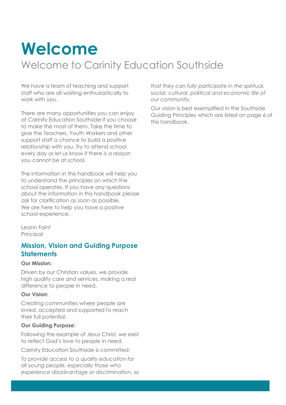### **Welcome**

### Welcome to Carinity Education Southside

We have a team of teaching and support staff who are all waiting enthusiastically to work with you.

There are many opportunities you can enjoy at Carinity Education Southside if you choose to make the most of them. Take the time to give the Teachers, Youth Workers and other support staff a chance to build a positive relationship with you. Try to attend school every day or let us know if there is a reason you cannot be at school.

The information in this handbook will help you to understand the principles on which the school operates. If you have any questions about the information in this handbook please ask for clarification as soon as possible. We are here to help you have a positive school experience.

Leann Faint Principal

#### **Mission, Vision and Guiding Purpose Statements**

#### **Our Mission:**

Driven by our Christian values, we provide high quality care and services, making a real difference to people in need.

#### **Our Vision:**

Creating communities where people are loved, accepted and supported to reach their full potential.

#### **Our Guiding Purpose:**

Following the example of Jesus Christ, we exist to reflect God's love to people in need.

Carinity Education Southside is committed:

*To provide access to a quality education for all young people, especially those who experience disadvantage or discrimination, so* *that they can fully participate in the spiritual, social, cultural, political and economic life of our community.*

Our vision is best exemplified in the Southside Guiding Principles which are listed on page 6 of this handbook.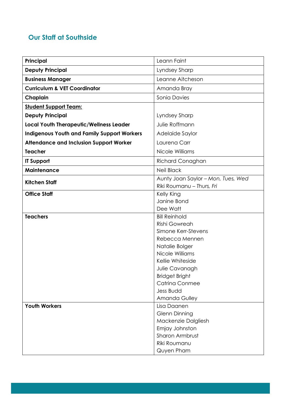#### **Our Staff at Southside**

| Principal                                          | Leann Faint                                  |
|----------------------------------------------------|----------------------------------------------|
| <b>Deputy Principal</b>                            | Lyndsey Sharp                                |
| <b>Business Manager</b>                            | Leanne Aitcheson                             |
| <b>Curriculum &amp; VET Coordinator</b>            | Amanda Bray                                  |
| Chaplain                                           | Sonia Davies                                 |
| <b>Student Support Team:</b>                       |                                              |
| <b>Deputy Principal</b>                            | Lyndsey Sharp                                |
| <b>Local Youth Therapeutic/Wellness Leader</b>     | Julie Roffmann                               |
| <b>Indigenous Youth and Family Support Workers</b> | Adelaide Saylor                              |
| <b>Attendance and Inclusion Support Worker</b>     | Laurena Carr                                 |
| <b>Teacher</b>                                     | Nicole Williams                              |
| <b>IT Support</b>                                  | <b>Richard Conaghan</b>                      |
| <b>Maintenance</b>                                 | <b>Neil Black</b>                            |
| <b>Kitchen Staff</b>                               | Aunty Joan Saylor - Mon, Tues, Wed           |
|                                                    | Riki Roumanu - Thurs, Fri                    |
| <b>Office Staff</b>                                | Kelly King                                   |
|                                                    | Janine Bond                                  |
|                                                    | Dee Watt                                     |
| <b>Teachers</b>                                    | <b>Bill Reinhold</b><br><b>Rishi Gowreah</b> |
|                                                    | Simone Kerr-Stevens                          |
|                                                    | Rebecca Mennen                               |
|                                                    | Natalie Bolger                               |
|                                                    | Nicole Williams                              |
|                                                    | Kellie Whiteside                             |
|                                                    | Julie Cavanagh                               |
|                                                    | <b>Bridget Bright</b>                        |
|                                                    | <b>Catrina Conmee</b>                        |
|                                                    | <b>Jess Budd</b>                             |
|                                                    | Amanda Gulley                                |
| <b>Youth Workers</b>                               | Lisa Daanen                                  |
|                                                    | <b>Glenn Dinning</b>                         |
|                                                    | Mackenzie Dalgliesh                          |
|                                                    | Emjay Johnston                               |
|                                                    | Sharon Armbrust                              |
|                                                    | Riki Roumanu                                 |
|                                                    | Quyen Pham                                   |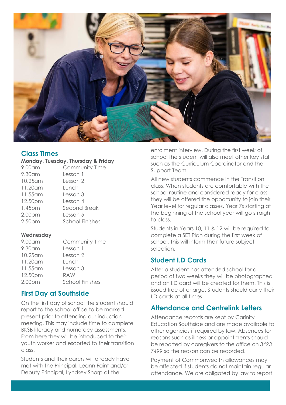

#### **Class Times**

#### **Monday, Tuesday, Thursday & Friday**

| 9.00am   | Community Time         |
|----------|------------------------|
| 9.30 am  | Lesson 1               |
| 10.25 am | Lesson 2               |
| 11.20 am | Lunch                  |
| 11.55 am | Lesson 3               |
| 12.50pm  | Lesson 4               |
| 1.45pm   | Second Break           |
| 2.00pm   | Lesson 5               |
| 2.50pm   | <b>School Finishes</b> |

#### **Wednesday**

| 9.00am             | Community Time         |
|--------------------|------------------------|
| 9.30 am            | Lesson 1               |
| 10.25 am           | Lesson 2               |
| 11.20 am           | Lunch                  |
| 11.55 am           | Lesson 3               |
| 12.50pm            | <b>RAW</b>             |
| 2.00 <sub>pm</sub> | <b>School Finishes</b> |

#### **First Day at Southside**

On the first day of school the student should report to the school office to be marked present prior to attending our induction meeting. This may include time to complete BKSB literacy and numeracy assessments. From here they will be introduced to their youth worker and escorted to their transition class.

Students and their carers will already have met with the Principal, Leann Faint and/or Deputy Principal, Lyndsey Sharp at the

enrolment interview. During the first week of school the student will also meet other key staff such as the Curriculum Coordinator and the Support Team.

All new students commence in the Transition class. When students are comfortable with the school routine and considered ready for class they will be offered the opportunity to join their Year level for regular classes. Year 7s starting at the beginning of the school year will go straight to class.

Students in Years 10, 11 & 12 will be required to complete a SET Plan during the first week of school. This will inform their future subject selection.

#### **Student I.D Cards**

After a student has attended school for a period of two weeks they will be photographed and an I.D card will be created for them. This is issued free of charge. Students should carry their I.D cards at all times.

#### **Attendance and Centrelink Letters**

Attendance records are kept by Carinity Education Southside and are made available to other agencies if required by law. Absences for reasons such as illness or appointments should be reported by caregivers to the office on *3423 7499* so the reason can be recorded.

Payment of Commonwealth allowances may be affected if students do not maintain regular attendance. We are obligated by law to report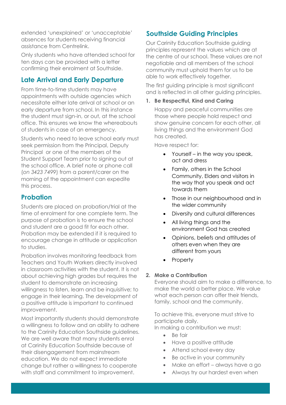extended 'unexplained' or 'unacceptable' absences for students receiving financial assistance from Centrelink.

Only students who have attended school for ten days can be provided with a letter confirming their enrolment at Southside.

#### **Late Arrival and Early Departure**

From time-to-time students may have appointments with outside agencies which necessitate either late arrival at school or an early departure from school. In this instance the student must sign-in, or out, at the school office. This ensures we know the whereabouts of students in case of an emergency.

Students who need to leave school early must seek permission from the Principal, Deputy Principal or one of the members of the Student Support Team prior to signing out at the school office. A brief note or phone call (*on 3423 7499*) from a parent/carer on the morning of the appointment can expedite this process.

#### **Probation**

Students are placed on probation/trial at the time of enrolment for one complete term. The purpose of probation is to ensure the school and student are a good fit for each other. Probation may be extended if it is required to encourage change in attitude or application to studies.

Probation involves monitoring feedback from Teachers and Youth Workers directly involved in classroom activities with the student. It is not about achieving high grades but requires the student to demonstrate an increasing willingness to listen, learn and be inquisitive; to engage in their learning. The development of a positive attitude is important to continued improvement.

Most importantly students should demonstrate a willingness to follow and an ability to adhere to the Carinity Education Southside guidelines. We are well aware that many students enrol at Carinity Education Southside because of their disengagement from mainstream education. We do not expect immediate change but rather a willingness to cooperate with staff and commitment to improvement.

#### **Southside Guiding Principles**

Our Carinity Education Southside guiding principles represent the values which are at the centre of our school. These values are not negotiable and all members of the school community must uphold them for us to be able to work effectively together.

The first guiding principle is most significant and is reflected in all other guiding principles.

#### **1. Be Respectful, Kind and Caring**

Happy and peaceful communities are those where people hold respect and show genuine concern for each other, all living things and the environment God has created.

Have respect for:

- Yourself in the way you speak, act and dress
- Family, others in the School Community, Elders and visitors in the way that you speak and act towards them
- Those in our neighbourhood and in the wider community
- Diversity and cultural differences
- All living things and the environment God has created
- Opinions, beliefs and attitudes of others even when they are different from yours
- **Property**

#### **2. Make a Contribution**

Everyone should aim to make a difference, to make the world a better place. We value what each person can offer their friends, family, school and the community.

To achieve this, everyone must strive to participate daily.

In making a contribution we must:

- Be fair
- Have a positive attitude
- Attend school every day
- Be active in your community
- Make an effort always have a go
- Always try our hardest even when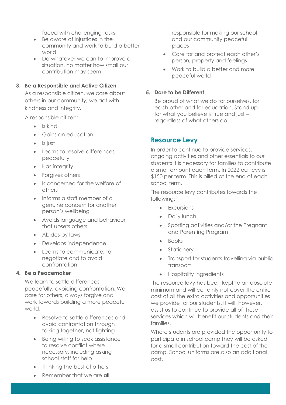faced with challenging tasks

- Be aware of injustices in the community and work to build a better world
- Do whatever we can to improve a situation, no matter how small our contribution may seem

#### **3. Be a Responsible and Active Citizen**

As a responsible citizen, we care about others in our community; we act with kindness and integrity.

A responsible citizen:

- Is kind
- Gains an education
- Is just
- Learns to resolve differences peacefully
- Has integrity
- Forgives others
- Is concerned for the welfare of others
- Informs a staff member of a genuine concern for another person's wellbeing
- Avoids language and behaviour that upsets others
- Abides by laws
- Develops independence
- Learns to communicate, to negotiate and to avoid confrontation

#### **4. Be a Peacemaker**

We learn to settle differences peacefully, avoiding confrontation. We care for others, always forgive and work towards building a more peaceful world.

- Resolve to settle differences and avoid confrontation through talking together, not fighting
- Being willing to seek assistance to resolve conflict where necessary, including asking school staff for help
- Thinking the best of others
- Remember that we are **all**

responsible for making our school and our community peaceful places

- Care for and protect each other's person, property and feelings
- Work to build a better and more peaceful world

#### **5. Dare to be Different**

Be proud of what we do for ourselves, for each other and for education. Stand up for what you believe is true and just – regardless of what others do.

#### **Resource Levy**

In order to continue to provide services, ongoing activities and other essentials to our students it is necessary for families to contribute a small amount each term. In 2022 our levy is \$150 per term. This is billed at the end of each school term.

The resource levy contributes towards the following:

- Excursions
- Daily lunch
- Sporting activities and/or the Pregnant and Parenting Program
- Books
- **Stationery**
- Transport for students travelling via public transport
- Hospitality ingredients

The resource levy has been kept to an absolute minimum and will certainly not cover the entire cost of all the extra activities and opportunities we provide for our students. It will, however, assist us to continue to provide all of these services which will benefit our students and their families.

Where students are provided the opportunity to participate in school camp they will be asked for a small contribution toward the cost of the camp. School uniforms are also an additional cost.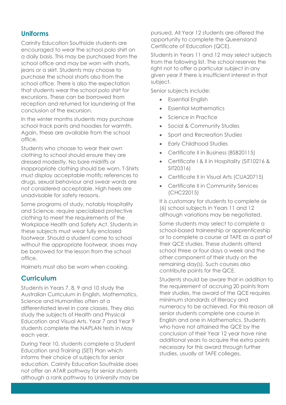#### **Uniforms**

Carinity Education Southside students are encouraged to wear the school polo shirt on a daily basis. This may be purchased from the school office and may be worn with shorts, jeans or a skirt. Students may choose to purchase the school shorts also from the school office. There is also the expectation that students wear the school polo shirt for excursions. These can be borrowed from reception and returned for laundering at the conclusion of the excursion.

In the winter months students may purchase school track pants and hoodies for warmth. Again, these are available from the school office.

Students who choose to wear their own clothing to school should ensure they are dressed modestly. No bare midriffs or inappropriate clothing should be worn. T-Shirts must display acceptable motifs; references to drugs, sexual behaviour and swear words are not considered acceptable. High heels are unadvisable for safety reasons.

Some programs of study, notably Hospitality and Science, require specialized protective clothing to meet the requirements of the Workplace Health and Safety Act. Students in these subjects must wear fully enclosed footwear. Should a student come to school without the appropriate footwear, shoes may be borrowed for the lesson from the school office.

Hairnets must also be worn when cooking.

#### **Curriculum**

Students in Years 7, 8, 9 and 10 study the Australian Curriculum in English, Mathematics, Science and Humanities often at a differentiated level in core classes. They also study the subjects of Health and Physical Education and Visual Arts. Year 7 and Year 9 students complete the NAPLAN tests in May each year.

During Year 10, students complete a Student Education and Training (SET) Plan which informs their choice of subjects for senior education. Carinity Education Southside does not offer an ATAR pathway for senior students although a rank pathway to University may be pursued. All Year 12 students are offered the opportunity to complete the Queensland Certificate of Education (QCE).

Students in Years 11 and 12 may select subjects from the following list. The school reserves the right not to offer a particular subject in any given year if there is insufficient interest in that subject.

Senior subjects include:

- Essential English
- Essential Mathematics
- Science in Practice
- Social & Community Studies
- Sport and Recreation Studies
- Early Childhood Studies
- Certificate II in Business (BSB20115)
- Certificate I & II in Hospitality (SIT10216 & SIT20316)
- Certificate II in Visual Arts (CUA20715)
- Certificate II in Community Services (CHC22015)

It is customary for students to complete six (6) school subjects in Years 11 and 12 although variations may be negotiated.

Some students may select to complete a school-based traineeship or apprenticeship or to complete a course at TAFE as a part of their QCE studies. These students attend school three or four days a week and the other component of their study on the remaining day(s). Such courses also contribute points for the QCE.

Students should be aware that in addition to the requirement of accruing 20 points from their studies, the award of the QCE requires minimum standards of literacy and numeracy to be achieved. For this reason all senior students complete one course in English and one in Mathematics. Students who have not attained the QCE by the conclusion of their Year 12 year have nine additional years to acquire the extra points necessary for this award through further studies, usually at TAFE colleges.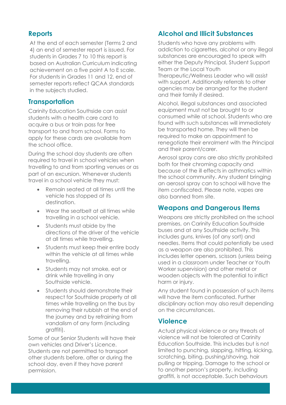#### **Reports**

At the end of each semester (Terms 2 and 4) an end of semester report is issued. For students in Grades 7 to 10 this report is based on Australian Curriculum indicating achievement on a five point A to E scale. For students in Grades 11 and 12, end of semester reports reflect QCAA standards in the subjects studied.

#### **Transportation**

Carinity Education Southside can assist students with a health care card to acquire a bus or train pass for free transport to and from school. Forms to apply for these cards are available from the school office.

During the school day students are often required to travel in school vehicles when travelling to and from sporting venues or as part of an excursion. Whenever students travel in a school vehicle they must:

- Remain seated at all times until the vehicle has stopped at its destination.
- Wear the seatbelt at all times while travelling in a school vehicle.
- Students must abide by the directions of the driver of the vehicle at all times while travelling.
- Students must keep their entire body within the vehicle at all times while travelling.
- Students may not smoke, eat or drink while travelling in any Southside vehicle.
- Students should demonstrate their respect for Southside property at all times while travelling on the bus by removing their rubbish at the end of the journey and by refraining from vandalism of any form (including graffiti).

Some of our Senior Students will have their own vehicles and Driver's Licence. Students are not permitted to transport other students before, after or during the school day, even if they have parent permission.

#### **Alcohol and Illicit Substances**

Students who have any problems with addiction to cigarettes, alcohol or any illegal substances are encouraged to speak with either the Deputy Principal, Student Support Team or the Local Youth Therapeutic/Wellness Leader who will assist with support. Additionally referrals to other agencies may be arranged for the student and their family if desired.

Alcohol, illegal substances and associated equipment must not be brought to or consumed while at school. Students who are found with such substances will immediately be transported home. They will then be required to make an appointment to renegotiate their enrolment with the Principal and their parent/carer.

Aerosol spray cans are also strictly prohibited both for their chroming capacity and because of the ill effects in asthmatics within the school community. Any student bringing an aerosol spray can to school will have the item confiscated. Please note, vapes are also banned from site.

#### **Weapons and Dangerous Items**

Weapons are strictly prohibited on the school premises, on Carinity Education Southside buses and at any Southside activity. This includes guns, knives (of any sort) and needles. Items that could potentially be used as a weapon are also prohibited. This includes letter openers, scissors (unless being used in a classroom under Teacher or Youth Worker supervision) and other metal or wooden objects with the potential to inflict harm or injury.

Any student found in possession of such items will have the item confiscated. Further disciplinary action may also result depending on the circumstances.

#### **Violence**

Actual physical violence or any threats of violence will not be tolerated at Carinity Education Southside. This includes but is not limited to punching, slapping, hitting, kicking, scratching, biting, pushing/shoving, hair pulling or tripping. Damage to the school or to another person's property, including graffiti, is not acceptable. Such behaviours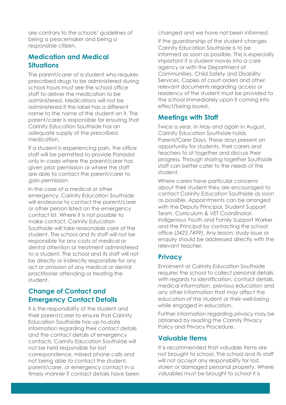are contrary to the schools' guidelines of being a peacemaker and being a responsible citizen.

#### **Medication and Medical Situations**

The parent/carer of a student who requires prescribed drugs to be administered during school hours must see the school office staff to deliver the medication to be administered. Medications will not be administered if the label has a different name to the name of the student on it. The parent/carer is responsible for ensuring that Carinity Education Southside has an adequate supply of the prescribed medication.

If a student is experiencing pain, the office staff will be permitted to provide Panadol only in cases where the parent/carer has given prior permission or where the staff are able to contact the parent/carer to gain permission.

In the case of a medical or other emergency, Carinity Education Southside will endeavor to contact the parent/carer or other person listed on the emergency contact list. Where it is not possible to make contact, Carinity Education Southside will take reasonable care of the student. The school and its staff will not be responsible for any costs of medical or dental attention or treatment administered to a student. The school and its staff will not be directly or indirectly responsible for any act or omission of any medical or dental practitioner attending or treating the student.

#### **Change of Contact and Emergency Contact Details**

It is the responsibility of the student and their parent/carer to ensure that Carinity Education Southside has up-to-date information regarding their contact details and the contact details of emergency contacts. Carinity Education Southside will not be held responsible for lost correspondence, missed phone calls and not being able to contact the student, parent/carer, or emergency contact in a timely manner if contact details have been changed and we have not been informed.

If the guardianship of the student changes Carinity Education Southside is to be informed as soon as possible. This is especially important if a student moves into a care agency or with the Department of Communities, Child Safety and Disability Services. Copies of court orders and other relevant documents regarding access or residency of the student must be provided to the school immediately upon it coming into effect/being issued.

#### **Meetings with Staff**

Twice a year, in May and again in August, Carinity Education Southside holds Parent/Carer Days. These days present an opportunity for students, their carers and teachers to sit together and discuss their progress. Through sharing together Southside staff can better cater to the needs of the student.

Where carers have particular concerns about their student they are encouraged to contact Carinity Education Southside as soon as possible. Appointments can be arranged with the Deputy Principal, Student Support Team, Curriculum & VET Coordinator, Indigenous Youth and Family Support Worker and the Principal by contacting the school office (*3423 7499*). Any lesson, study issue or enquiry should be addressed directly with the relevant teacher.

#### **Privacy**

Enrolment at Carinity Education Southside requires the school to collect personal details with regards to identification, contact details, medical information, previous education and any other information that may affect the education of the student or their well-being while engaged in education.

Further information regarding privacy may be obtained by reading the Carinity Privacy Policy and Privacy Procedure.

#### **Valuable Items**

It is recommended that valuable items are not brought to school. The school and its staff will not accept any responsibility for lost, stolen or damaged personal property. Where valuables must be brought to school it is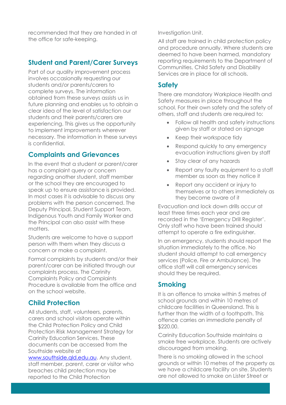recommended that they are handed in at the office for safe-keeping.

#### **Student and Parent/Carer Surveys**

Part of our quality improvement process involves occasionally requesting our students and/or parents/carers to complete surveys. The information obtained from these surveys assists us in future planning and enables us to obtain a clear idea of the level of satisfaction our students and their parents/carers are experiencing. This gives us the opportunity to implement improvements wherever necessary. The information in these surveys is confidential.

#### **Complaints and Grievances**

In the event that a student or parent/carer has a complaint query or concern regarding another student, staff member or the school they are encouraged to speak up to ensure assistance is provided. In most cases it is advisable to discuss any problems with the person concerned. The Deputy Principal, Student Support Team, Indigenous Youth and Family Worker and the Principal can also assist with these matters.

Students are welcome to have a support person with them when they discuss a concern or make a complaint.

Formal complaints by students and/or their parent/carer can be initiated through our complaints process. The Carinity Complaints Policy and Complaints Procedure is available from the office and on the school website.

#### **Child Protection**

All students, staff, volunteers, parents, carers and school visitors operate within the Child Protection Policy and Child Protection Risk Management Strategy for Carinity Education Services. These documents can be accessed from the Southside website at

[www.southside.qld.edu.au.](http://www.southside.qld.edu.au/) Any student, staff member, parent, carer or visitor who breaches child protection may be reported to the Child Protection

Investigation Unit.

All staff are trained in child protection policy and procedure annually. Where students are deemed to have been harmed, mandatory reporting requirements to the Department of Communities, Child Safety and Disability Services are in place for all schools.

#### **Safety**

There are mandatory Workplace Health and Safety measures in place throughout the school. For their own safety and the safety of others, staff and students are required to:

- Follow all health and safety instructions given by staff or stated on signage
- Keep their workspace tidy
- Respond quickly to any emergency evacuation instructions given by staff
- Stay clear of any hazards
- Report any faulty equipment to a staff member as soon as they notice it
- Report any accident or injury to themselves or to others immediately as they become aware of it

Evacuation and lock down drills occur at least three times each year and are recorded in the 'Emergency Drill Register'. Only staff who have been trained should attempt to operate a fire extinguisher.

In an emergency, students should report the situation immediately to the office. No student should attempt to call emergency services (Police, Fire or Ambulance). The office staff will call emergency services should they be required.

#### **Smoking**

It is an offence to smoke within 5 metres of school grounds and within 10 metres of childcare facilities in Queensland. This is further than the width of a foothpath. This offence carries an immediate penalty of \$220.00.

Carinity Education Southside maintains a smoke free workplace. Students are actively discouraged from smoking.

There is no smoking allowed in the school grounds or within 10 metres of the property as we have a childcare facility on site. Students are not allowed to smoke on Lister Street or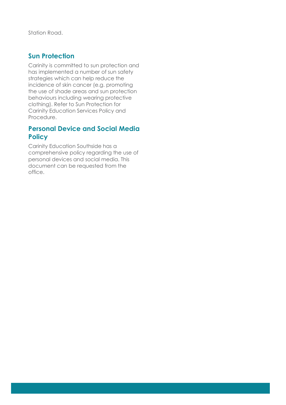Station Road.

#### **Sun Protection**

Carinity is committed to sun protection and has implemented a number of sun safety strategies which can help reduce the incidence of skin cancer (e.g. promoting the use of shade areas and sun protection behaviours including wearing protective clothing). Refer to Sun Protection for Carinity Education Services Policy and Procedure.

#### **Personal Device and Social Media Policy**

Carinity Education Southside has a comprehensive policy regarding the use of personal devices and social media. This document can be requested from the office.